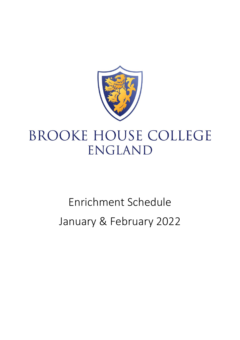

# **BROOKE HOUSE COLLEGE** ENGLAND

# Enrichment Schedule January & February 2022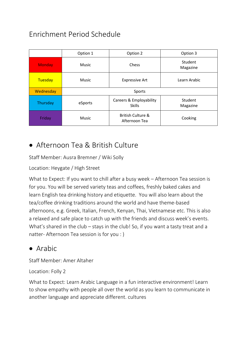# Enrichment Period Schedule

|               | Option 1     | Option 2                                      | Option 3            |
|---------------|--------------|-----------------------------------------------|---------------------|
| <b>Monday</b> | <b>Music</b> | Chess                                         | Student<br>Magazine |
| Tuesday       | <b>Music</b> | <b>Expressive Art</b>                         | Learn Arabic        |
| Wednesday     | Sports       |                                               |                     |
| Thursday      | eSports      | Careers & Employability<br><b>Skills</b>      | Student<br>Magazine |
| Friday        | <b>Music</b> | <b>British Culture &amp;</b><br>Afternoon Tea | Cooking             |

# • Afternoon Tea & British Culture

Staff Member: Ausra Bremner / Wiki Solly

Location: Heygate / High Street

What to Expect: If you want to chill after a busy week – Afternoon Tea session is for you. You will be served variety teas and coffees, freshly baked cakes and learn English tea drinking history and etiquette. You will also learn about the tea/coffee drinking traditions around the world and have theme-based afternoons, e.g. Greek, Italian, French, Kenyan, Thai, Vietnamese etc. This is also a relaxed and safe place to catch up with the friends and discuss week's events. What's shared in the club – stays in the club! So, if you want a tasty treat and a natter- Afternoon Tea session is for you : )

#### • Arabic

Staff Member: Amer Altaher

Location: Folly 2

What to Expect: Learn Arabic Language in a fun interactive environment! Learn to show empathy with people all over the world as you learn to communicate in another language and appreciate different. cultures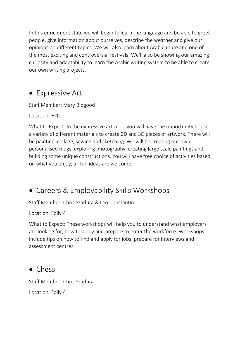In this enrichment club, we will begin to learn the language and be able to greet people, give information about ourselves, describe the weather and give our opinions on different topics. We will also learn about Arab culture and one of the most exciting and controversial festivals. We'll also be showing our amazing curiosity and adaptability to learn the Arabic writing system to be able to create our own writing projects.

#### • Expressive Art

Staff Member: Mary Bidgood

Location: HI12

What to Expect: In the expressive arts club you will have the opportunity to use a variety of different materials to create 2D and 3D pieces of artwork. There will be painting, collage, sewing and sketching. We will be creating our own personalised mugs, exploring photography, creating large scale paintings and building some unique constructions. You will have free choice of activities based on what you enjoy, all fun ideas are welcome.

# • Careers & Employability Skills Workshops

Staff Member: Chris Szadura & Leo Constantin

Location: Folly 4

What to Expect: These workshops will help you to understand what employers are looking for, how to apply and prepare to enter the workforce. Workshops include tips on how to find and apply for jobs, prepare for interviews and assessment centres.

#### • Chess

Staff Member: Chris Szadura

Location: Folly 4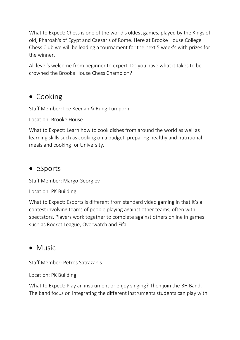What to Expect: Chess is one of the world's oldest games, played by the Kings of old, Pharoah's of Egypt and Caesar's of Rome. Here at Brooke House College Chess Club we will be leading a tournament for the next 5 week's with prizes for the winner.

All level's welcome from beginner to expert. Do you have what it takes to be crowned the Brooke House Chess Champion?

#### • Cooking

Staff Member: Lee Keenan & Rung Tumporn

Location: Brooke House

What to Expect: Learn how to cook dishes from around the world as well as learning skills such as cooking on a budget, preparing healthy and nutritional meals and cooking for University.

#### • eSports

Staff Member: Margo Georgiev

Location: PK Building

What to Expect: Esports is different from standard video gaming in that it's a contest involving teams of people playing against other teams, often with spectators. Players work together to complete against others online in games such as Rocket League, Overwatch and Fifa.

# • Music

Staff Member: Petros Satrazanis

Location: PK Building

What to Expect: Play an instrument or enjoy singing? Then join the BH Band. The band focus on integrating the different instruments students can play with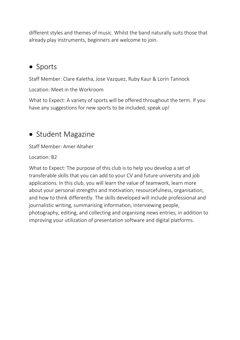different styles and themes of music. Whilst the band naturally suits those that already play instruments, beginners are welcome to join.

#### • Sports

Staff Member: Clare Kaletha, Jose Vazquez, Ruby Kaur & Lorin Tannock

Location: Meet in the Workroom

What to Expect: A variety of sports will be offered throughout the term. If you have any suggestions for new sports to be included, speak up!

#### • Student Magazine

Staff Member: Amer Altaher

Location: B2

What to Expect: The purpose of this club is to help you develop a set of transferable skills that you can add to your CV and future university and job applications. In this club, you will learn the value of teamwork, learn more about your personal strengths and motivation, resourcefulness, organisation, and how to think differently. The skills developed will include professional and journalistic writing, summarising information, interviewing people, photography, editing, and collecting and organising news entries, in addition to improving your utilization of presentation software and digital platforms.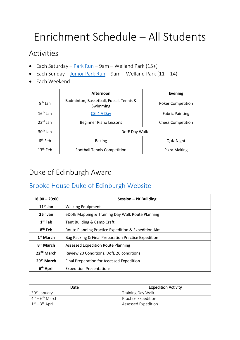# Enrichment Schedule – All Students

#### **Activities**

- Each Saturday  $Park Run$  $Park Run$  $Park Run$  9am Welland Park (15+)</u>
- Each Sunday [Junior Park Run](https://marketharborough.com/events/leicestershire/market-harborough/sport/junior-park-run/?gde=2021-11-07) 9am Welland Park  $(11 14)$
- Each Weekend

|            | Afternoon                                           | <b>Evening</b>           |  |
|------------|-----------------------------------------------------|--------------------------|--|
| $9th$ Jan  | Badminton, Basketball, Futsal, Tennis &<br>Swimming | <b>Poker Competition</b> |  |
| $16th$ Jan | CSI 4 A Day                                         | <b>Fabric Painting</b>   |  |
| $23rd$ Jan | <b>Beginner Piano Lessons</b>                       | <b>Chess Competition</b> |  |
| $30th$ Jan | DofE Day Walk                                       |                          |  |
| $6th$ Feb  | <b>Baking</b>                                       | <b>Quiz Night</b>        |  |
| $13th$ Feb | <b>Football Tennis Competition</b>                  | Pizza Making             |  |

# Duke of Edinburgh Award

#### [Brooke House Duke of Edinburgh Website](https://www.brookehousecollege.co.uk/pastoral/duke-of-edinburghs-award)

| $18:00 - 20:00$        | Session – PK Building                               |  |  |
|------------------------|-----------------------------------------------------|--|--|
| $11th$ Jan             | <b>Walking Equipment</b>                            |  |  |
| $25th$ Jan             | eDofE Mapping & Training Day Walk Route Planning    |  |  |
| $1st$ Feb              | Tent Building & Camp Craft                          |  |  |
| 8 <sup>th</sup> Feb    | Route Planning Practice Expedition & Expedition Aim |  |  |
| $1st$ March            | Bag Packing & Final Preparation Practice Expedition |  |  |
| 8 <sup>th</sup> March  | <b>Assessed Expedition Route Planning</b>           |  |  |
| 22 <sup>nd</sup> March | Review 20 Conditions, DofE 20 conditions            |  |  |
| 29 <sup>th</sup> March | Final Preparation for Assessed Expedition           |  |  |
| 6 <sup>th</sup> April  | <b>Expedition Presentations</b>                     |  |  |

| Date                                  | <b>Expedition Activity</b> |
|---------------------------------------|----------------------------|
| 30 <sup>th</sup> January              | <b>Training Day Walk</b>   |
| $4^{\text{th}} - 6^{\text{th}}$ March | <b>Practice Expedition</b> |
| $1st - 3rd$ April                     | <b>Assessed Expedition</b> |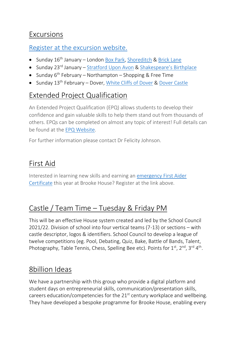#### Excursions

[Register at the excursion website.](https://www.brookehousecollege.co.uk/pastoral/excursions)

- Sunday 16<sup>th</sup> January London [Box Park,](https://www.boxpark.co.uk/shoreditch/) [Shoreditch](https://en.wikipedia.org/wiki/Shoreditch) & [Brick Lane](https://www.londonxlondon.com/brick-lane/)
- Sunday 23<sup>rd</sup> January [Stratford Upon Avon](https://www.visitstratforduponavon.co.uk/) & [Shakespeare's Birthplace](https://www.shakespeare.org.uk/visit/shakespeares-birthplace/)
- Sunday  $6<sup>th</sup>$  February Northampton Shopping & Free Time
- Sunday 13<sup>th</sup> February Dover, *White Cliffs of Dover & [Dover Castle](https://www.english-heritage.org.uk/visit/places/dover-castle/)*

# Extended Project Qualification

An Extended Project Qualification (EPQ) allows students to develop their confidence and gain valuable skills to help them stand out from thousands of others. EPQs can be completed on almost any topic of interest! Full details can be found at the [EPQ Website.](https://www.aqa.org.uk/extended-project-qualification)

For further information please contact Dr Felicity Johnson.

# First Aid

Interested in learning new skills and earning an [emergency First Aider](https://www.brookehousecollege.co.uk/pastoral/first-aid)  [Certificate](https://www.brookehousecollege.co.uk/pastoral/first-aid) this year at Brooke House? Register at the link above.

# Castle / Team Time – Tuesday & Friday PM

This will be an effective House system created and led by the School Council 2021/22. Division of school into four vertical teams (7-13) or sections – with castle descriptor, logos & identifiers. School Council to develop a league of twelve competitions (eg. Pool, Debating, Quiz, Bake, Battle of Bands, Talent, Photography, Table Tennis, Chess, Spelling Bee etc). Points for 1<sup>st</sup>, 2<sup>nd</sup>, 3<sup>rd</sup> 4<sup>th</sup>.

# 8billion Ideas

We have a partnership with this group who provide a digital platform and student days on entrepreneurial skills, communication/presentation skills, careers education/competencies for the  $21<sup>st</sup>$  century workplace and wellbeing. They have developed a bespoke programme for Brooke House, enabling every